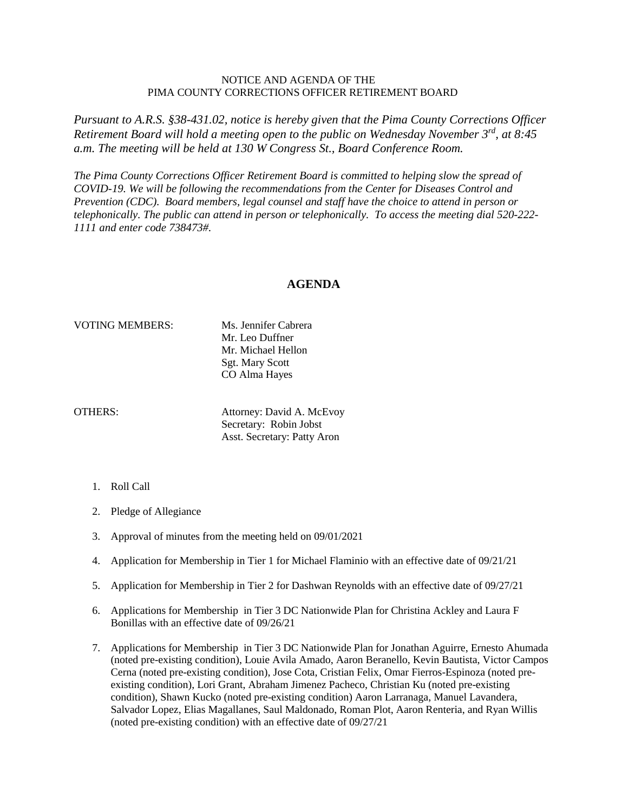## NOTICE AND AGENDA OF THE PIMA COUNTY CORRECTIONS OFFICER RETIREMENT BOARD

*Pursuant to A.R.S. §38-431.02, notice is hereby given that the Pima County Corrections Officer Retirement Board will hold a meeting open to the public on Wednesday November 3rd, at 8:45 a.m. The meeting will be held at 130 W Congress St., Board Conference Room.*

*The Pima County Corrections Officer Retirement Board is committed to helping slow the spread of COVID-19. We will be following the recommendations from the Center for Diseases Control and Prevention (CDC). Board members, legal counsel and staff have the choice to attend in person or telephonically. The public can attend in person or telephonically. To access the meeting dial 520-222- 1111 and enter code 738473#.*

## **AGENDA**

## VOTING MEMBERS: Ms. Jennifer Cabrera

Mr. Leo Duffner Mr. Michael Hellon Sgt. Mary Scott CO Alma Hayes

OTHERS: Attorney: David A. McEvoy Secretary: Robin Jobst Asst. Secretary: Patty Aron

- 1. Roll Call
- 2. Pledge of Allegiance
- 3. Approval of minutes from the meeting held on 09/01/2021
- 4. Application for Membership in Tier 1 for Michael Flaminio with an effective date of 09/21/21
- 5. Application for Membership in Tier 2 for Dashwan Reynolds with an effective date of 09/27/21
- 6. Applications for Membership in Tier 3 DC Nationwide Plan for Christina Ackley and Laura F Bonillas with an effective date of 09/26/21
- 7. Applications for Membership in Tier 3 DC Nationwide Plan for Jonathan Aguirre, Ernesto Ahumada (noted pre-existing condition), Louie Avila Amado, Aaron Beranello, Kevin Bautista, Victor Campos Cerna (noted pre-existing condition), Jose Cota, Cristian Felix, Omar Fierros-Espinoza (noted preexisting condition), Lori Grant, Abraham Jimenez Pacheco, Christian Ku (noted pre-existing condition), Shawn Kucko (noted pre-existing condition) Aaron Larranaga, Manuel Lavandera, Salvador Lopez, Elias Magallanes, Saul Maldonado, Roman Plot, Aaron Renteria, and Ryan Willis (noted pre-existing condition) with an effective date of 09/27/21